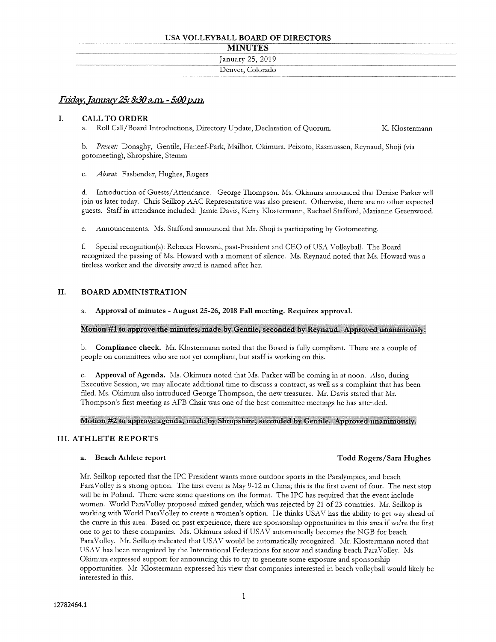#### USA VOLLEYBALL BOARD OF DIRECTORS

| <b>MINUTES</b> |
|----------------|
|----------------|

| ---------        |
|------------------|
| January 25, 2019 |
| Denver, Colorado |
|                  |

# Friday, January 25: 8:30 a.m. - 5:00 p.m.

#### $\mathbf{I}$ . CALL TO ORDER

a. Roll Call/Board Introductions, Directory Update, Declaration of Quorum. K. Klostermann

b. Present: Donaghy, Gentile, Haneef-Park, Mailhot, Okimura, Peixoto, Rasmussen, Reynaud, Shoji (via gotomeeting), Shropshire, Stemm

Absent: Fasbender, Hughes, Rogers  $\mathbf{C}$ 

d. Introduction of Guests/Attendance. George Thompson. Ms. Okimura announced that Denise Parker will join us later today. Chris Seilkop AAC Representative was also present. Otherwise, there are no other expected guests. Staff in attendance included: Jamie Davis, Kerry Klostermann, Rachael Stafford, Marianne Greenwood.

e. Announcements. Ms. Stafford announced that Mr. Shoji is participating by Gotomeeting.

f. Special recognition(s): Rebecca Howard, past-President and CEO of USA Volleyball. The Board recognized the passing of Ms. Howard with <sup>a</sup> moment of silence. Ms. Reynaud noted that Ms. Howard was <sup>a</sup> tireless worker and the diversity award is named after her.

# II. BOARD ADMINISTRATION

### a. Approval of minutes - August 25-26, 2018 Fall meeting. Requires approval.

#### Motion #1 to approve the minutes, made by Gentile, seconded by Reynaud. Approved unanimously.

b. Compliance check. Mr. Klostermann noted that the Board is fully compliant. There are <sup>a</sup> couple of people on committees who are not yet compliant, but staff is working on this.

Approval of Agenda. Ms. Okimura noted that Ms. Parker will be coming in at noon. Also, during  $C_{\cdot}$ Executive Session, we may allocate additional time to discuss <sup>a</sup> contract, as well as <sup>a</sup> complaint that has been filed. Ms. Okimura also introduced George Thompson, the new treasurer. Mr. Davis stated that Mr. Thompson's first meeting as AFB Chair was one of the best committee meetings he has attended.

#### Motion #2 to approve agenda, made by Sliropshire, seconded by Gentile. Approvedunanimously.

# III. ATHLETE REPORTS

# a. Beach Athlete report Todd Rogers/Sara Hughes

Mr. Seilkop reported that the IPC President wants more outdoor sports in the Paralympics, and beach ParaVolley is <sup>a</sup> strong option. The first event is May 9-12 in China; this is the first event of four. The next stop will be in Poland. There were some questions on the format. The IPC has required that the event include women. World ParaVolley proposed mixed gender, which was rejected by 21 of 23 countries. Mr. Seilkop is working with World ParaVolley to create <sup>a</sup> women's option. He thinks USAV has the ability to get way ahead of the curve in this area. Based on past experience, there are sponsorship opportunities in this area if we're the first one to get to these companies. Ms. Okimura asked if USAV automatically becomes the NGB for beach ParaVolley. Mr. Seilkop indicated that USAV would be automatically recognized. Mr. Klostermann noted that USAV has been recognized by the International Federations for snow and standing beach ParaVolley. Ms. Okimura expressed support for announcing this to try to generate some exposure and sponsorship opportunities. Mr. Klostermann expressed his view that companies interested in beach volleyball would likely be interested in this.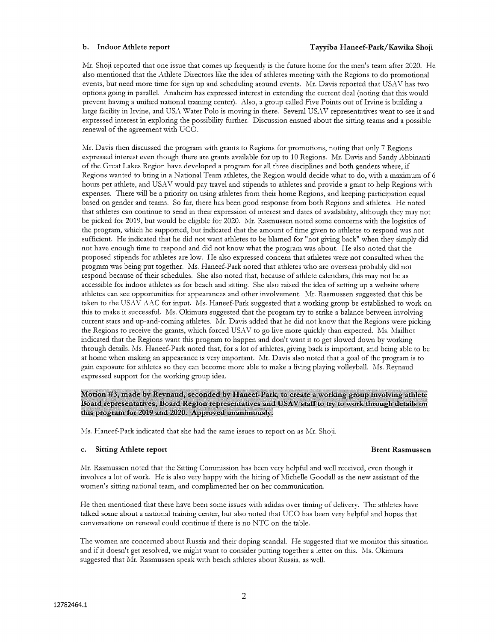Mr. Shoji reported that one issue that comes up frequently is the future home for the men's team after 2020. He also mentioned that the Athlete Directors like the idea of athletes meeting with the Regions to do promotional events, but need more time for sign up and scheduling around events. Mr. Davis reported that USAV has two options going in parallel. Anaheim has expressed interest in extending the current deal (noting that this would prevent having <sup>a</sup> unified national training center). Also, <sup>a</sup> group called Five Points out of Irvine is building <sup>a</sup> large facility in Irvine, and USA Water Polo is moving in there. Several USAV representatives went to see it and expressed interest in exploring the possibility further. Discussion ensued about the sitting teams and <sup>a</sup> possible renewal of the agreement with UCO.

Mr. Davis then discussed the program with grants to Regions for promotions, noting that only <sup>7</sup> Regions expressed interest even though there are grants available for up to 10 Regions. Mr. Davis and Sandy Abbinanti of the Great Lakes Region have developed <sup>a</sup> program for all three disciplines and both genders where, if Regions wanted to bring in <sup>a</sup> National Team athletes, the Region would decide what to do, with <sup>a</sup> maximum of <sup>6</sup> hours per athlete, and USAV would pay travel and stipends to athletes and provide <sup>a</sup> grant to help Regions with expenses. There will be <sup>a</sup> ptiority on using athletes from their home Regions, and keeping participation equal based on gender and teams. So far, there has been good response from both Regions and athletes. He noted that athletes can continue to send in their expression of interest and dates of availability, although they may not be picked for 2019, but would be eligible for 2020. Mr. Rasmussen noted some concerns with the logistics of the program, which he supported, but indicated that the amount of time given to athletes to respond was not sufficient. He indicated that he did not want athletes to be blamed for "not giving back" when they simply did not have enough time to respond and did not know what the program was about. He also noted that the proposed stipends for athletes are low. He also expressed concern that athletes were not consulted when the program was being put together. Ms. Haneef-Park noted that athletes who are overseas probably did not respond because of their schedules. She also noted that, because of athlete calendars, this may not be as accessible for indoor athletes as for beach and sitting. She also raised the idea of setting up <sup>a</sup> website where athletes can see opportunities for appearances and other involvement. Mr. Rasmussen suggested that this be taken to the USAV AAC for input. Ms. Haneef-Park suggested that <sup>a</sup> working group be established to work on this to make it successful. Ms. Okimura suggested that the program try to strike <sup>a</sup> balance between involving current stars and up-and-coming athletes. Mr. Davis added that he did not know that the Regions were picking the Regions to receive the grants, which forced USAV to go live more quickly than expected. Ms. Mailhot indicated that the Regions want this program to happen and don't want it to get slowed down by working through details. Ms. Haneef-Park noted that, for <sup>a</sup> lot of athletes, giving back is important, and being able to be at home when making an appearance is very important. Mr. Davis also noted that <sup>a</sup> goal of the program is to gain exposure for athletes so they can become more able to make <sup>a</sup> living playing volleyball. Ms. Reynaud expressed support for the working group idea.

#### Motion #3, made by Reynaud, seconded by Haneef-Park, to create a working group involving athlete Board representatives, Board Region representatives and USAV staff to try to work through details on this program for 2019 and 2020. Approved unanimously.

Ms. Haneef-Park indicated that she had the same issues to report on as Mr. Shoji.

#### c. Sitting Athlete report **Brent Rasmussen** Brent Rasmussen

Mr. Rasmussen noted that the Sitting Commission has been very helpful and well received, even though it involves <sup>a</sup> lot of work. He is also very happy with the hiring of Michelle Goodall as the new assistant of the women's sitting national team, and complimented her on her communication.

He then mentioned that there have been some issues with adidas over timing of delivery. The athletes have talked some about <sup>a</sup> national training center, but also noted that UCO has been very helpful and hopes that conversations on renewal could continue if there is no NTC on the table.

The women are concerned about Russia and their doping scandal. He suggested that we monitor this situation and if it doesn't get resolved, we might want to consider putting together <sup>a</sup> letter on this. Ms. Okimura suggested that Mr. Rasmussen speak with beach athletes about Russia, as well.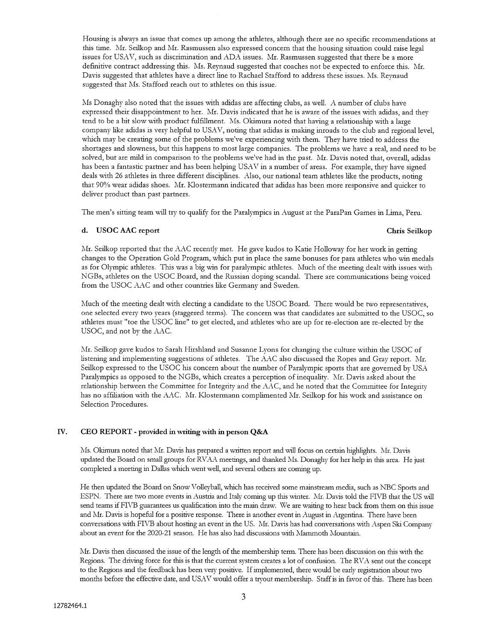Housing is always an issue that comes up among the athletes, although there are no specific recommendations at this time. Mr. Seilkop and Mr. Rasmussen also expressed concern that the housing situation could raise legal issues for USAV, such as discrimination and ADA issues. Mr. Rasmussen suggested that there be <sup>a</sup> more definitive contract addressing this. Ms. Reynaud suggested that coaches not be expected to enforce this. Mr. Davis suggested that athletes have a direct line to Rachael Stafford to address these issues. Ms. Reynaud suggested that Ms. Stafford reach out to athletes on this issue.

Ms Donaghy also noted that the issues with adidas are affecting clubs, as well. A number of clubs have expressed their disappointment to her. Mi. Davis indicated that he is aware of the issues with adidas, and they tend to be <sup>a</sup> bit slow with product fulfillment. Ms. Okimura noted that having <sup>a</sup> relationship with <sup>a</sup> large company like adidas is very helpful to USAV, noting that adidas is making inroads to the club and regional level, which may be creating some of the problems we've experiencing with them. They have tried to address the shortages and slowness, but this happens to most large companies. The problems we have <sup>a</sup> real, and need to be solved, but are mild in comparison to the problems we've had in the past. Mr. Davis noted that, overall, adidas has been <sup>a</sup> fantastic partner and has been helping USAV in <sup>a</sup> number of areas. For example, they have signed deals with 26 athletes in three different disciplines. Also, our national team athletes like the products, noting that 90% wear adidas shoes. Mr. Klostermann indicated that adidas has been more responsive and quicker to deliver product than past partners.

The men's sitting team will try to qualify for the Paralympics in August at the ParaPan Games in Lima, Peru.

### d. USOC AAC report Chris Seilkop

Mr. Seilkop reported that the AAC recently met. He gave kudos to Katie Holloway for her work in getting changes to the Operation Gold Program, which put in place the same bonuses for para athletes who win medals as for Olympic athletes. This was <sup>a</sup> big win for paralympic athletes. Much of the meeting dealt with issues with NGBs, athletes on the USOC Board, and the Russian doping scandal. There are communications being voiced from the USOC AAC and other countries like Germany and Sweden.

Much of the meeting dealt with electing <sup>a</sup> candidate to the USOC Board. There would be two representatives, one selected every two years (staggered terms). The concern was that candidates are submitted to the USOC, so athletes must "toe the USOC line" to get elected, and athletes who are up for re-election are re-elected by the USOC, and not by the AAC.

Mr. Seiikop gave kudos to Sarah Hirshland and Susanne Lyons for changing the culture within the USOC of listening and implementing suggestions of athletes. The AAC also discussed the Ropes and Gray report. Mr. Seilkop expressed to the USOC his concern about the number of Paralympic sports that are governed by USA Paralympics as opposed to the NGBs, which creates <sup>a</sup> perception of inequality. Mr. Davis asked about the relationship between the Committee for Integrity and the AAC, and he noted that the Committee for Integrity has no affiliation with the AAC. Mr. Klostermann complimented Mr. Seilkop for his work and assistance on Selection Procedures.

# IV. CEO REPORT - provided in writing with in person Q&A

Ms. Okimura noted that Mr. Davis has prepared <sup>a</sup> written report and will focus on certain highlights. Mr. Davis updated the Board on small groups for RVAA meetings, and thanked Ms. Donaghy for her help in this area. He just completed <sup>a</sup> meeting in Dallas which went well, and several others are coming up.

He then updated the Board on Snow Volleyball, which has received some mainstream media, such as NBC Sports and ESPN. There are two more events in Austria and Italy coming up this winter. Mr. Davis told the FIVB that the US will send teams if FIVB guarantees us qualification into the main draw. We are waiting to hear back from them on this issue and Mr. Davis is hopeful for a positive response. There is another event in August in Argentina. There have been conversations with FIVB about hosting an event in the US. Mr. Davis has had conversations with Aspen Ski Company about an event for the 2020-21 season. He has also had discussions with Mammoth Mountain.

Mr. Davis then discussed the issue of the length of the membership term. There has been discussion on this with the Regions. The driving force for this is that the current system creates <sup>a</sup> lot of confusion. The RVA sent out the concept to the Regions and the feedback has been very positive. Ifimplemented, there would be early registration about two months before the effective date, and USAV would offer <sup>a</sup> tryout membership. Staffis in favor of this. There has been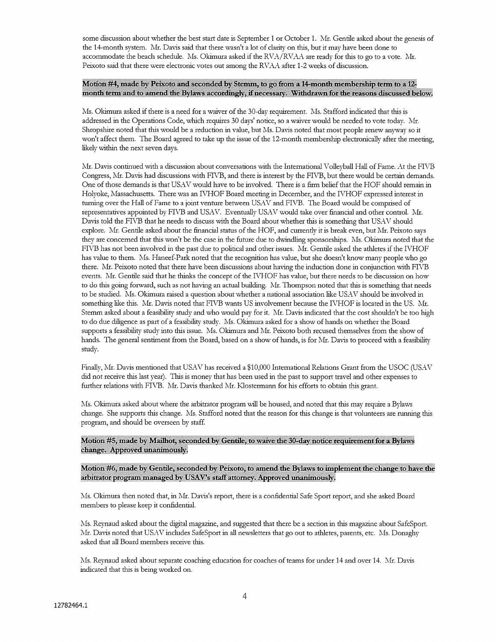some discussion about whether the best start date is September 1 or October 1. Mr. Gentile asked about the genesis of the 14-month system. Mr. Davis said that there wasn't <sup>a</sup> lot of clarity on this, but it may have been done to accommodate the beach schedule. Ms. Okimura asked if the RVA/RVAA are ready for this to go to <sup>a</sup> vote. Mr. Peixoto said that there were electronic votes out among the RVAA after 1-2 weeks of discussion.

#### Motion #4, made by Peixoto and seconded by Stemm, to go from a 14-month membership term to a 12month term and to amend the Bylaws accordingly, if necessary. Withdrawn for the reasons discussed below.

Ms. Okimura asked if there is <sup>a</sup> need for <sup>a</sup> waiver of the 30-day requirement. Ms. Stafford indicated that this is addressed in the Operations Code, which requires 30 days' notice, so <sup>a</sup> waiver would be needed to vote today. Mr. Shropshire noted that this would be <sup>a</sup> reduction in value, but Ms. Davis noted that most people renew anyway soit won't affect them. The Board agreed to take up the issue of the 12-month membership electronically after the meeting, likely within the next seven days.

Mr. Davis continued with <sup>a</sup> discussion about conversations with the International Volleyball Hall of Fame. At the FlUB Congress, Mr. Davis had discussions with FIVE, and there is interest by the FIVB, but there would be certain demands. One of those demands is that USAV would have to be involved. There is <sup>a</sup> firm belief that the HOF should remain in Holyoke, Massachusetts. There was an IVHOF Board meeting in December, and the IVHOF expressed interest in turning over the Hall of Fame to <sup>a</sup> joint venture between USAV and FIVE. The Board would be comprised of representatives appointed by FIVB and USAV. Eventually USAV would take over financial and other control. Mr. Davis told the FIVB that he needs to discuss with the Board about whether this is something that USAV should explore. Mr. Gentile asked about the financial status of the HOF, and currently it is break even, but Mr. Peixoto says they are concerned that this won't be the case in the future due to dwindling sponsorships. Ms. Okimura noted that the FIVB has not been involved in the past due to political and other issues. Mr. Gentile asked the athletes if the IVHOF has value to them. Ms. Haneef-Park noted that the recognition has value, but she doesn't know many people who go there. Mr. Peixoto noted that there have been discussions about having the induction done in conjunction with FIVE events. Mr. Gentile said that he thinks the concept of the IVHOF has value, but there needs to be discussion on how to do this going forward, such as not having an actual building. Mr. Thompson noted that this is something that needs to be studied. Ms. Okimura raised <sup>a</sup> question about whether <sup>a</sup> national association like USXV should be involved in something like this. Mr. Davis noted that FIVE wants US involvement because the IVHOF is located in the US. Mr. Stemm asked about <sup>a</sup> feasibility study and who would pay for it. Mr. Davis indicated that the cost shouldn't be too high to do due diligence as part of <sup>a</sup> feasibility study. Ms. Okimura asked for <sup>a</sup> show of hands on whether the Board supports <sup>a</sup> feasibility study into this issue. Ms. Okimura and Mr. Peixoto both recused themselves from the show of hands. The general sentiment from the Board, based on <sup>a</sup> show of hands, is for Mr. Davis to proceed with <sup>a</sup> feasibility study.

Finally, Mr. Davis mentioned that USAV has received a \$10,000 International Relations Grant from the USOC (USAV did not receive this last year). This is money that has been used in the past to support travel and other expenses to further relations with FIVB. Mr. Davis thanked Mr. Klostermann for his efforts to obtain this grant.

Ms. Okimura asked about where the arbitrator program will be housed, and noted that this may require <sup>a</sup> Bylaws change. She supports this change. Ms. Stafford noted that the reason for this change is that volunteers are running this program, and should be overseen by staff.

Motion #5, made by Mailhot, seconded by Gentile, to waive the 30-day notice requirement for a Bylaws change. Approved unanimously.

#### Motion #6~ made by Gentile, seconded by Peizoto, to amend the Bylaws to implement the change to have the arbitrator program managed by USAV's staff attorney. Approved unanimously.

Ms. Okimura then noted that, in Mr. Davis's report, there is a confidential Safe Sport report, and she asked Board members to please keep it confidential.

Ms. Reynaud asked about the digital magazine, and suggested that there be <sup>a</sup> section in this magazine about SafeSport. \Ir. Davis noted that USAV includes SafeSport in all newsletters that go out to athletes, parents, etc. Ms. Donaghy asked that all Board members receive this.

Ms. Reynaud asked about separate coaching education for coaches of teams for under 14 and over 14. Mr. Davis indicated that this is being worked on.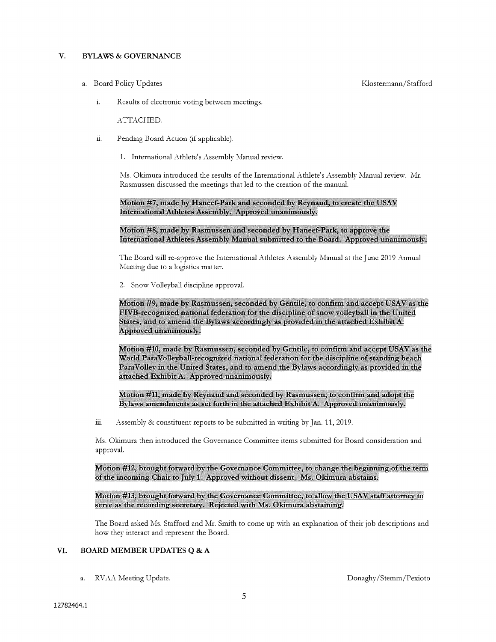## V. BYLAWS & GOVERNANCE

a. Board Policy Updates **Klostermann/Stafford** 

i. Results of electronic voting between meetings.

ATTACHED.

- ii. Pending Board Action (if applicable).
	- 1. International Athlete's Assembly Manual review.

Ms. Okimura introduced the results of the International Athlete's Assembly Manual review. Mr. Rasmussen discussed the meetings that led to the creation of the manual.

#### Motion #7, made by Haneef-Park and seconded by Reynaud, to create the USAV International Athletes Assembly. Approved unanimously.

#### Motion #8, made by Rasmussen and seconded by Haneef-Park, to approve the International Athletes Assembly Manual submitted to the Board. Approved unanimously.

The Board will re-approve the International Athletes Assembly Manual at the June 2019 Annual Meeting due to <sup>a</sup> logistics matter.

2. Snow Volleyball discipline approval.

Motion #9, made by Rasmussen, seconded by Gentile, to confirm and accept USAV as the FIVB-recognized national federation for the discipline of snow volleyball in the United States, and to amend the Bylaws accordingly as provided in the attached Exhibit A. Approved unanimously.

Motion #10, made by Rasmussen, seconded by Gentile, to confirm and accept USAV as the World ParaVolleyball-recognized national federation for the discipline of standing beach ParaVolley in the United States, and to amend the Bylaws accordingly as provided in the attached Exhibit A. Approved unanimously.

Motion #11, made by Reynaud and seconded by Rasmussen, to confirm and adopt the Bylaws amendments as set forth in the attached Exhibit A. Approved unanimously.

iii. Assembly & constituent reports to be submitted in writing by Jan. 11, 2019.

Ms. Okimura then introduced the Governance Committee items submitted for Board consideration and approval.

Motion #12, brought forward by the Governance committee, to change the beginning of the term of the incoming Chair to July 1. Approved without dissent. Ms. Okimura abstains.

Motion #13, brought forward by the Governance Committee, to allow the USAV staff attorney to serve as the recording secretarv. Rejected with Ms. Okimura abstaining.

The Board asked Ms. Stafford and Mr. Smith to come up with an explanation of their job descriptions and how they interact and represent the Board.

#### VI. BOARD MEMBER UPDATES Q & A

a. RVAA Meeting Update. Donaghy/Stemm/Pexioto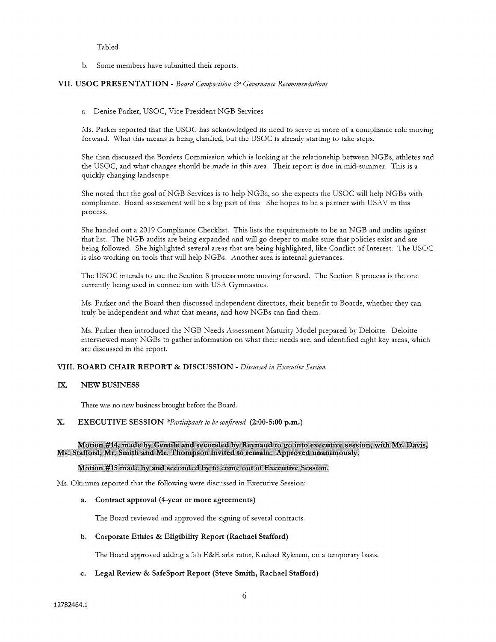Tabled.

b. Some members have submitted their reports.

#### VII. USOC PRESENTATION - Board Composition & Governance Recommendations

a. Denise Parker, USOC, Vice President NGB Services

Ms. Parker reported that the USOC has acknowledged its need to serve in more of <sup>a</sup> compliance role moving forward. What this means is being clarified, but the USOC is already starting to take steps.

She then discussed the Borders Commission which is looking at the relationship between NGBs, athletes and the USOC, and what changes should be made in this area. Their report is due in mid-summer. This is <sup>a</sup> quickly changing landscape.

She noted that the goal of NGB Services is to help NGBs, so she expects the USOC will help NGBs with compliance. Board assessment will be <sup>a</sup> big part of this. She hopes to be <sup>a</sup> partner with USAV in this process.

She handed out <sup>a</sup> 2019 Compliance Checklist. This lists the requirements to be an NGB and audits against that list. The NGB audits are being expanded and will go deeper to make sure that policies exist and are being followed. She highlighted several areas that are being highlighted, like Conflict of Interest. The USOC is also working on tools that will help NGBs. Another area is internal grievances.

The USOC intends to use the Section <sup>8</sup> process more moving forward. The Section <sup>8</sup> process is the one currently being used in connection with USA Gymnastics.

Ms. Parker and the Board then discussed independent directors, their benefit to Boards, whether they can truly be independent and what that means, and how NGBs can find them.

Ms. Parker then introduced the NGB Needs Assessment Maturity Model prepared by Deloitte. Deloitte interviewed many NGBs to gather information on what their needs are, and identified eight key areas, which are discussed in the report.

### VIII. BOARD CHAIR REPORT & DISCUSSION - Discussed in Executive Session.

#### 1X. NEW BUSINESS

There was no new business brought before the Board.

#### X. EXECUTIVE SESSION \*Participants to be confirmed. (2:00-5:00 p.m.)

Motion #14, made by Gentile and seconded by Reynaud to go into executive session, v Ms. Stafford, Mr. Smith and Mr. Thompson invited to remain. Approved unanimously.

### Motion #15 made by and seconded by to come out of Executive Session.

Ms. Okimura reported that the following were discussed in Lxecutive Session:

#### a. Contract approval (4-year or more agreements)

The Board reviewed and approved the signing of several contracts.

#### b. Corporate Ethics & Eligibility Report (Rachael Stafford)

The Board approved adding a 5th E&E arbitrator, Rachael Rykman, on a temporary basis.

#### c. Legal Review & SafeSport Report (Steve Smith, Rachael Stafford)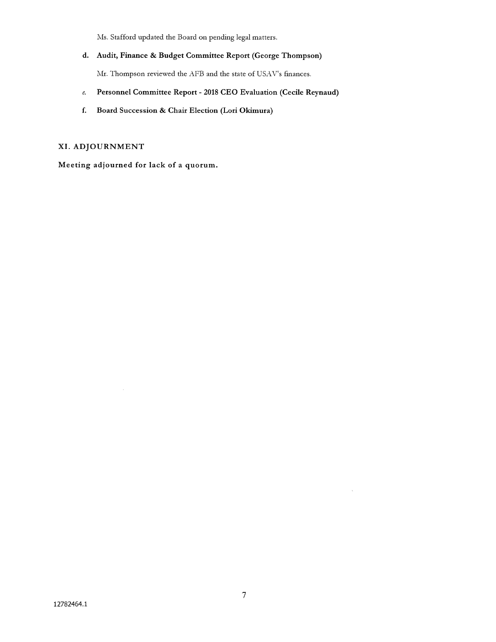Ms. Stafford updated the Board on pending legal matters.

d. Audit, Finance & Budget Committee Report (George Thompson)

Mr. Thompson reviewed the AFB and the state of USAV's finances.

- e. Personnel Committee Report 2018 CEO Evaluation (Cecile Reynaud)
- f. Board Succession & Chair Election (Lori Okimura)

# XI. ADJOURNMENT

Meeting adjourned for lack of <sup>a</sup> quorum.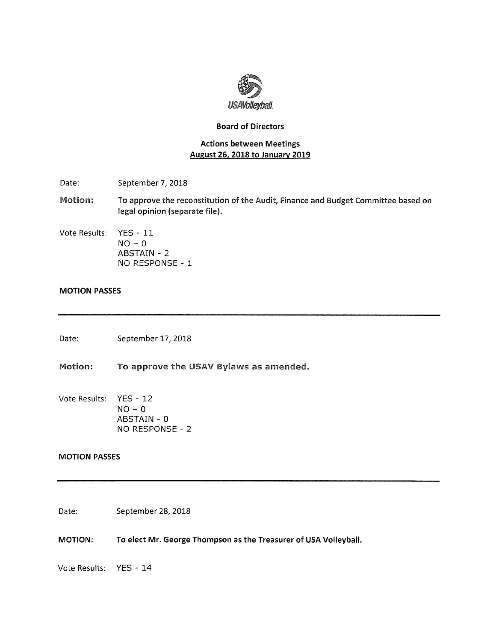

# Board of Directors

# Actions between Meetings August 26, 2018 to January 2019

- Date: September 7, 2018
- Motion: To approve the reconstitution of the Audit, Finance and Budget Committee based on legal opinion (separate file).
- Vote Results: YES 11
- $NO 0$ ABSTAIN - 2 NO RESPONSE - 1

# MOTION PASSES

Date: September 17, 2018

Motion: To approve the USAV Bylaws as amended.

Vote Results: YES - 12  $NO - 0$ ABSTAIN - 0 NO RESPONSE - 2

# MOTION PASSES

Date: September 28, 2018

MOTION: To elect Mr. George Thompson as the Treasurer of USA Volleyball.

Vote Results: YES - 14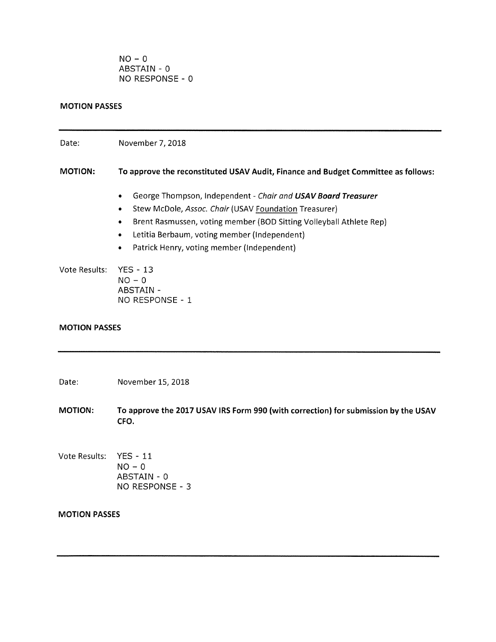$NO - 0$ ABSTAIN - 0 NO RESPONSE - 0

# MOTION PASSES

| Date:                | November 7, 2018                                                                                                                                                                                                                                                                                                                                     |
|----------------------|------------------------------------------------------------------------------------------------------------------------------------------------------------------------------------------------------------------------------------------------------------------------------------------------------------------------------------------------------|
| <b>MOTION:</b>       | To approve the reconstituted USAV Audit, Finance and Budget Committee as follows:                                                                                                                                                                                                                                                                    |
|                      | George Thompson, Independent - Chair and USAV Board Treasurer<br>$\bullet$<br>Stew McDole, Assoc. Chair (USAV Foundation Treasurer)<br>$\bullet$<br>Brent Rasmussen, voting member (BOD Sitting Volleyball Athlete Rep)<br>$\bullet$<br>Letitia Berbaum, voting member (Independent)<br>۰<br>Patrick Henry, voting member (Independent)<br>$\bullet$ |
| Vote Results:        | $YES - 13$<br>$NO - 0$<br><b>ABSTAIN -</b><br>NO RESPONSE - 1                                                                                                                                                                                                                                                                                        |
| <b>MOTION PASSES</b> |                                                                                                                                                                                                                                                                                                                                                      |
| Date:                | November 15, 2018                                                                                                                                                                                                                                                                                                                                    |
| <b>MOTION:</b>       | To approve the 2017 USAV IRS Form 990 (with correction) for submission by the USAV<br>CFO.                                                                                                                                                                                                                                                           |
| Vote Results:        | $YES - 11$<br>$NO - 0$<br>ABSTAIN - 0<br>NO RESPONSE - 3                                                                                                                                                                                                                                                                                             |
| <b>MOTION PASSES</b> |                                                                                                                                                                                                                                                                                                                                                      |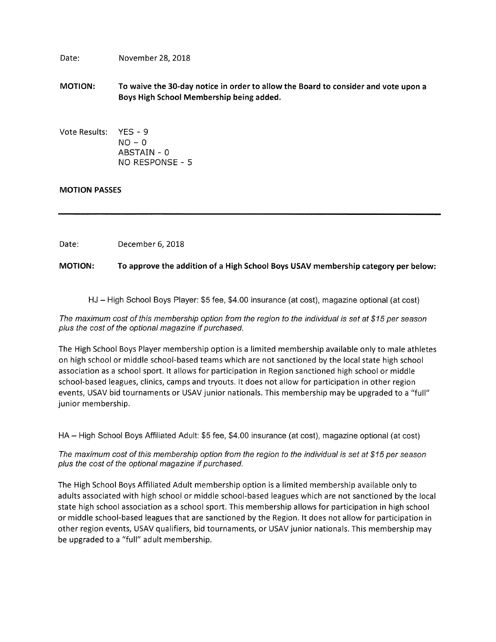Date: November 28, 2018

- MOTION: To waive the 30-day notice in order to allow the Board to consider and vote upon <sup>a</sup> Boys High School Membership being added.
- Vote Results: YES 9  $NO - 0$ ABSTAIN - 0 NO RESPONSE - 5

# MOTION PASSES

Date: December 6, 2018

MOTION: To approve the addition of a High School Boys USAV membership category per below:

HJ — High School Boys Player: \$5 fee, \$4.00 insurance (at cost), magazine optional (at cost)

The maximum cost of this membership option from the region to the individual is set at \$15 per season plus the cost of the optional magazine if purchased.

The High School Boys Player membership option is <sup>a</sup> limited membership available only to male athletes on high school or middle school-based teams which are not sanctioned by the local state high school association as <sup>a</sup> school sport. It allows for participation in Region sanctioned high school or middle school-based leagues, clinics, camps and tryouts. It does not allow for participation in other region events, USAV bid tournaments or USAV junior nationals. This membership may be upgraded to <sup>a</sup> "full" junior membership.

HA — High School Boys Affiliated Adult: \$5 fee, \$4.00 insurance (at cost), magazine optional (at cost)

The maximum cost of this membership option from the region to the individual is set at \$15 per season plus the cost of the optional magazine if purchased.

The High School Boys Affiliated Adult membership option is <sup>a</sup> limited membership available only to adults associated with high school or middle school-based leagues which are not sanctioned by the local state high school association as <sup>a</sup> school sport. This membership allows for participation in high school or middle school-based leagues that are sanctioned by the Region. It does not allow for participation in other region events, USAV qualifiers, bid tournaments, or USAV junior nationals. This membership may be upgraded to <sup>a</sup> "full" adult membership.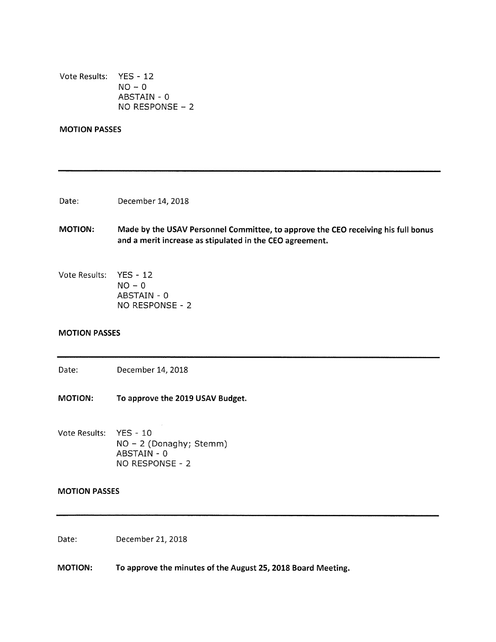Vote Results: YES - 12  $NO - 0$ ABSTAIN - 0 NO RESPONSE - 2

# MOTION PASSES

Date: December 14, 2018

- MOTION: Made by the USAV Personnel Committee, to approve the CEO receiving his full bonus and <sup>a</sup> merit increase as stipulated in the CEO agreement.
- Vote Results: YES 12  $NO - 0$ ABSTAIN - 0 NO RESPONSE - 2

# MOTION PASSES

Date: December 14, 2018

MOTION: To approve the 2019 USAV Budget.

Vote Results: YES - 10 NO — 2 (Donaghy; Stemm) ABSTAIN - 0 NO RESPONSE - 2

# MOTION PASSES

Date: December 21, 2018

MOTION: To approve the minutes of the August 25, 2018 Board Meeting.